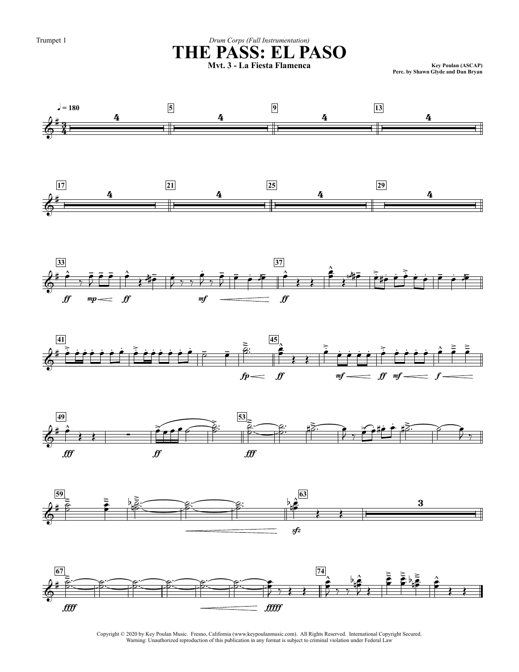Trumpet 1

### Drum Corps (Full Instrumentation) THE PASS: EL PASO















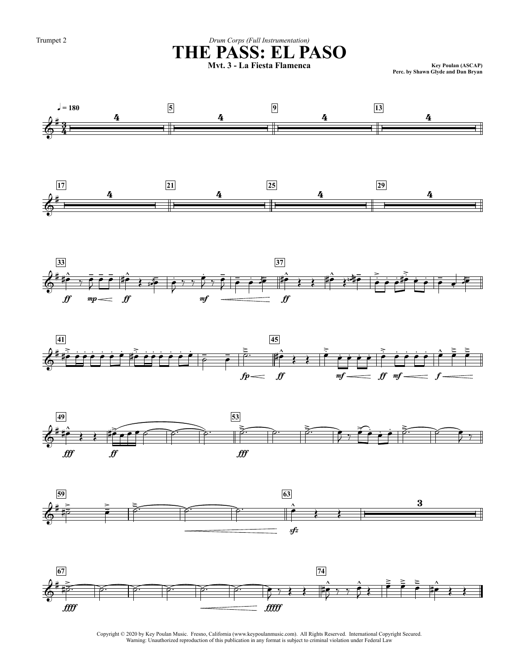Trumpet 2

### Drum Corps (Full Instrumentation) THE PASS: EL PASO

Key Poulan (ASCAP)<br>Perc. by Shawn Glyde and Dan Bryan

















Copyright © 2020 by Key Poulan Music. Fresno, California (www.keypoulanmusic.com). All Rights Reserved. International Copyright Secured. Warning: Unauthorized reproduction of this publication in any format is subject to criminal violation under Federal Law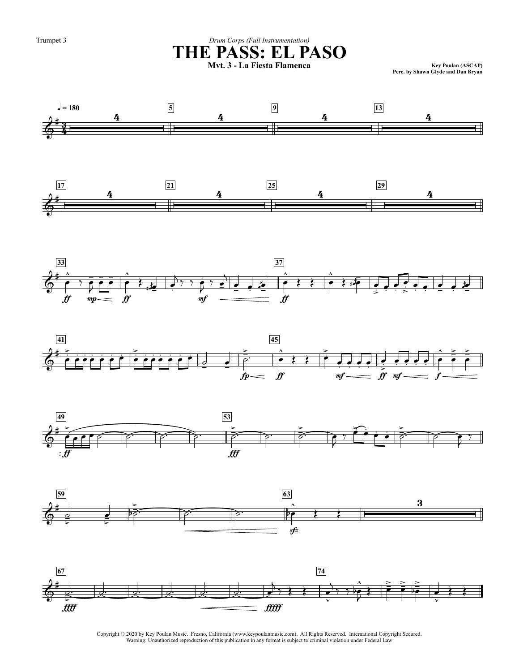Trumpet 3

 $= 180$ 

### Drum Corps (Full Instrumentation) THE PASS: EL PASO

Key Poulan (ASCAP)<br>Perc. by Shawn Glyde and Dan Bryan















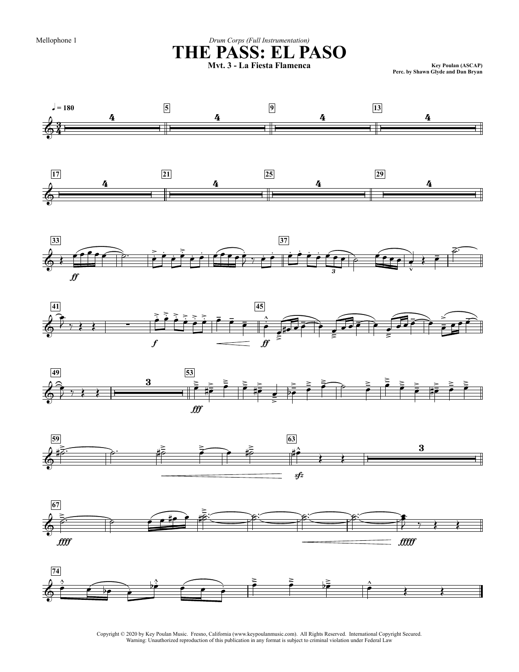Mellophone 1

### Drum Corps (Full Instrumentation) THE PASS: EL PASO

Key Poulan (ASCAP)<br>Perc. by Shawn Glyde and Dan Bryan















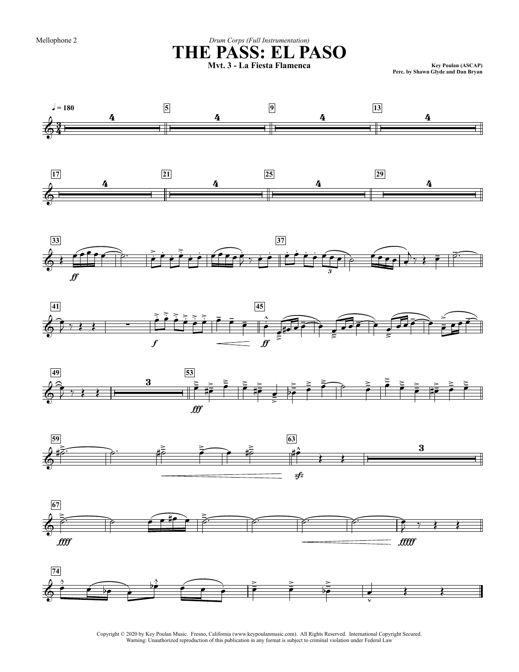Mellophone 2

# Drum Corps (Full Instrumentation) THE PASS: EL PASO

Key Poulan (ASCAP)<br>Perc. by Shawn Glyde and Dan Bryan















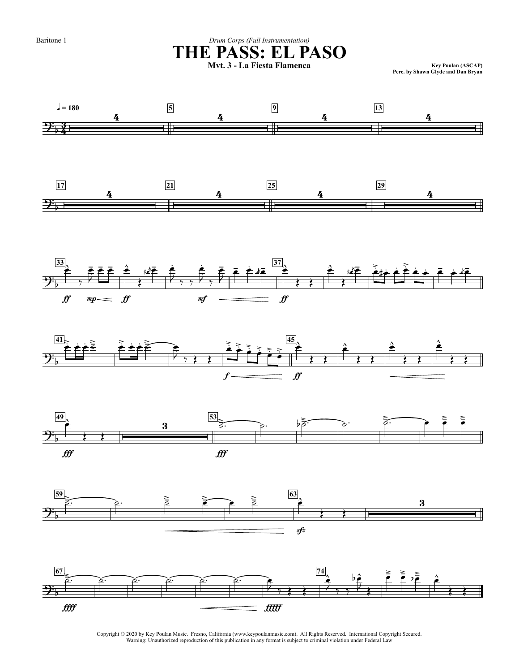Baritone 1

### Drum Corps (Full Instrumentation) THE PASS: EL PASO

Key Poulan (ASCAP)<br>Perc. by Shawn Glyde and Dan Bryan













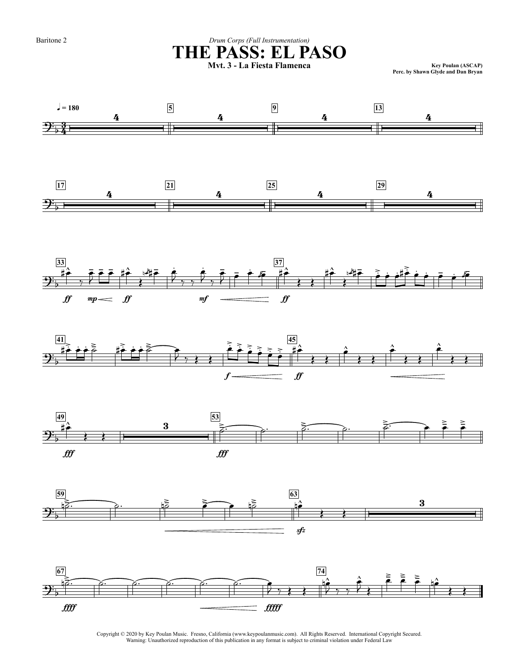Baritone 2

### Drum Corps (Full Instrumentation) THE PASS: EL PASO

Key Poulan (ASCAP)<br>Perc. by Shawn Glyde and Dan Bryan













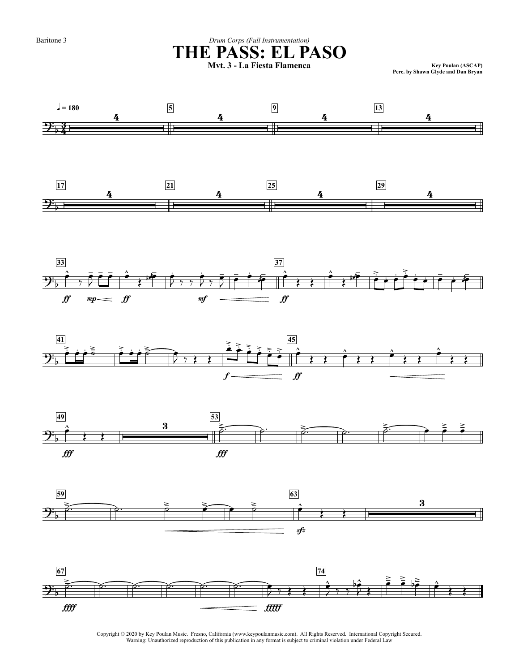Baritone 3

 $\sqrt{2}$  = 180

### Drum Corps (Full Instrumentation) THE PASS: EL PASO

Key Poulan (ASCAP)<br>Perc. by Shawn Glyde and Dan Bryan















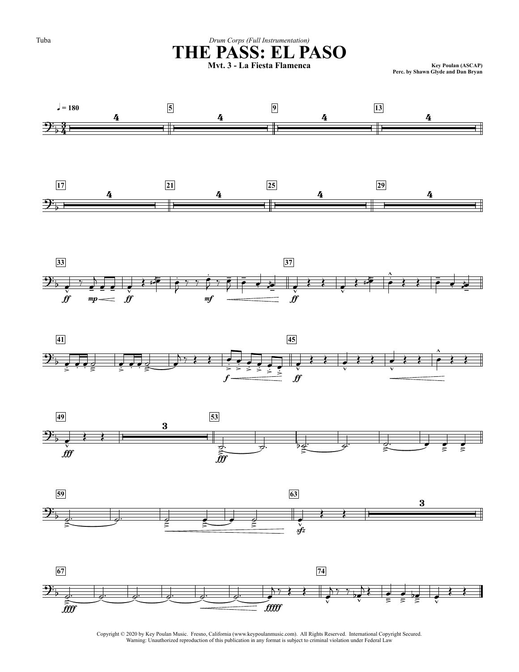













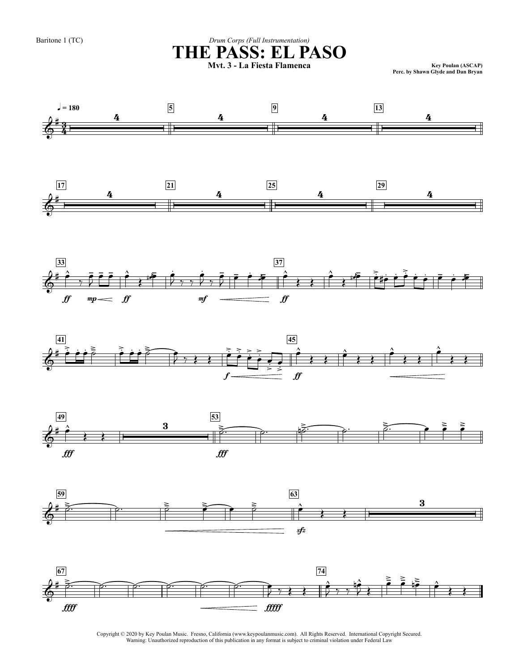Key Poulan (ASCAP)<br>Perc. by Shawn Glyde and Dan Bryan













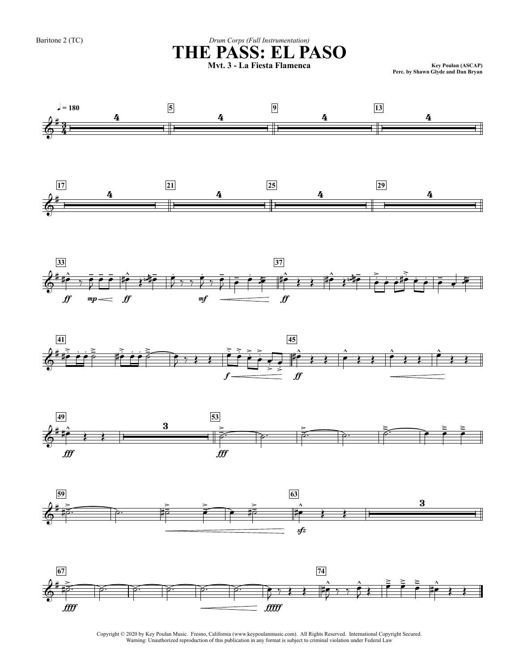Key Poulan (ASCAP)<br>Perc. by Shawn Glyde and Dan Bryan













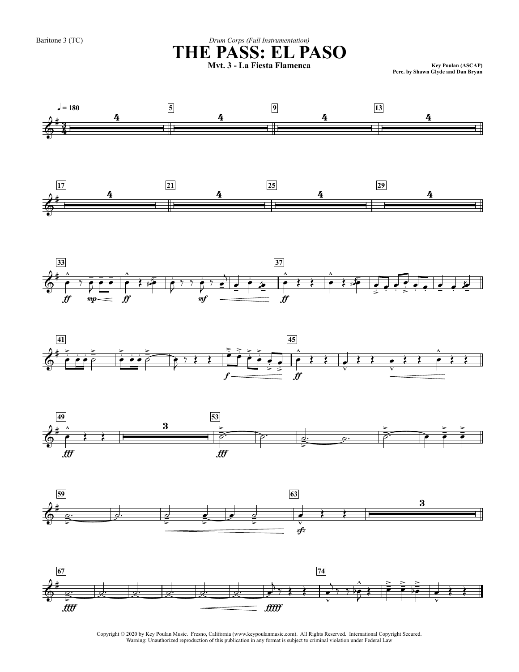Key Poulan (ASCAP)<br>Perc. by Shawn Glyde and Dan Bryan